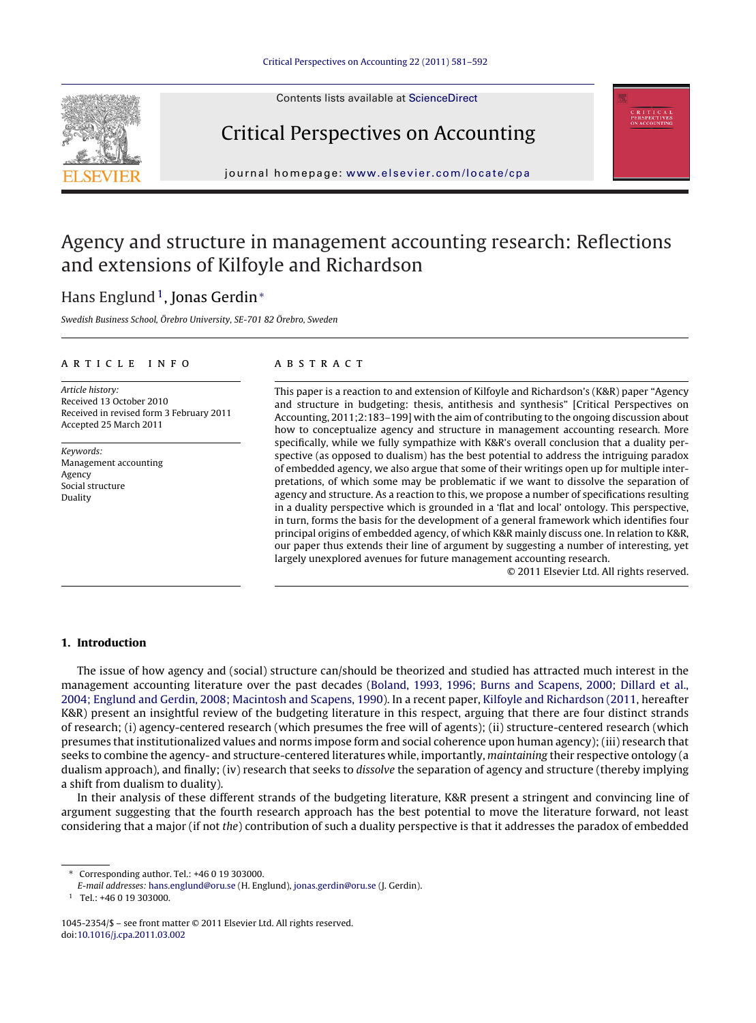Contents lists available at [ScienceDirect](http://www.sciencedirect.com/science/journal/10452354)





## Critical Perspectives on Accounting

journal homepage: [www.elsevier.com/locate/cpa](http://www.elsevier.com/locate/cpa)

## Agency and structure in management accounting research: Reflections and extensions of Kilfoyle and Richardson

### Hans Englund<sup>1</sup>, Jonas Gerdin<sup>∗</sup>

Swedish Business School, Örebro University, SE-701 82 Örebro, Sweden

#### ARTICLE INFO

Article history: Received 13 October 2010 Received in revised form 3 February 2011 Accepted 25 March 2011

Keywords: Management accounting Agency Social structure Duality

#### A B S T R A C T

This paper is a reaction to and extension of Kilfoyle and Richardson's (K&R) paper "Agency and structure in budgeting: thesis, antithesis and synthesis" [Critical Perspectives on Accounting, 2011;2:183–199] with the aim of contributing to the ongoing discussion about how to conceptualize agency and structure in management accounting research. More specifically, while we fully sympathize with K&R's overall conclusion that a duality perspective (as opposed to dualism) has the best potential to address the intriguing paradox of embedded agency, we also argue that some of their writings open up for multiple interpretations, of which some may be problematic if we want to dissolve the separation of agency and structure. As a reaction to this, we propose a number of specifications resulting in a duality perspective which is grounded in a 'flat and local' ontology. This perspective, in turn, forms the basis for the development of a general framework which identifies four principal origins of embedded agency, of which K&R mainly discuss one. In relation to K&R, our paper thus extends their line of argument by suggesting a number of interesting, yet largely unexplored avenues for future management accounting research.

© 2011 Elsevier Ltd. All rights reserved.

#### **1. Introduction**

The issue of how agency and (social) structure can/should be theorized and studied has attracted much interest in the management accounting literature over the past decades [\(Boland,](#page--1-0) [1993,](#page--1-0) [1996;](#page--1-0) [Burns](#page--1-0) [and](#page--1-0) [Scapens,](#page--1-0) [2000;](#page--1-0) [Dillard](#page--1-0) et [al.,](#page--1-0) [2004;](#page--1-0) [Englund](#page--1-0) [and](#page--1-0) [Gerdin,](#page--1-0) [2008;](#page--1-0) [Macintosh](#page--1-0) [and](#page--1-0) [Scapens,](#page--1-0) [1990\).](#page--1-0) In a recent paper, [Kilfoyle](#page--1-0) [and](#page--1-0) [Richardson](#page--1-0) [\(2011,](#page--1-0) hereafter K&R) present an insightful review of the budgeting literature in this respect, arguing that there are four distinct strands of research; (i) agency-centered research (which presumes the free will of agents); (ii) structure-centered research (which presumes that institutionalized values and norms impose form and social coherence upon human agency); (iii) research that seeks to combine the agency- and structure-centered literatures while, importantly, maintaining their respective ontology (a dualism approach), and finally; (iv) research that seeks to dissolve the separation of agency and structure (thereby implying a shift from dualism to duality).

In their analysis of these different strands of the budgeting literature, K&R present a stringent and convincing line of argument suggesting that the fourth research approach has the best potential to move the literature forward, not least considering that a major (if not the) contribution of such a duality perspective is that it addresses the paradox of embedded

<sup>∗</sup> Corresponding author. Tel.: +46 0 19 303000.

E-mail addresses: [hans.englund@oru.se](mailto:hans.englund@oru.se) (H. Englund), [jonas.gerdin@oru.se](mailto:jonas.gerdin@oru.se) (J. Gerdin).

 $1$  Tel.: +46 0 19 303000.

<sup>1045-2354/\$</sup> – see front matter © 2011 Elsevier Ltd. All rights reserved. doi:[10.1016/j.cpa.2011.03.002](dx.doi.org/10.1016/j.cpa.2011.03.002)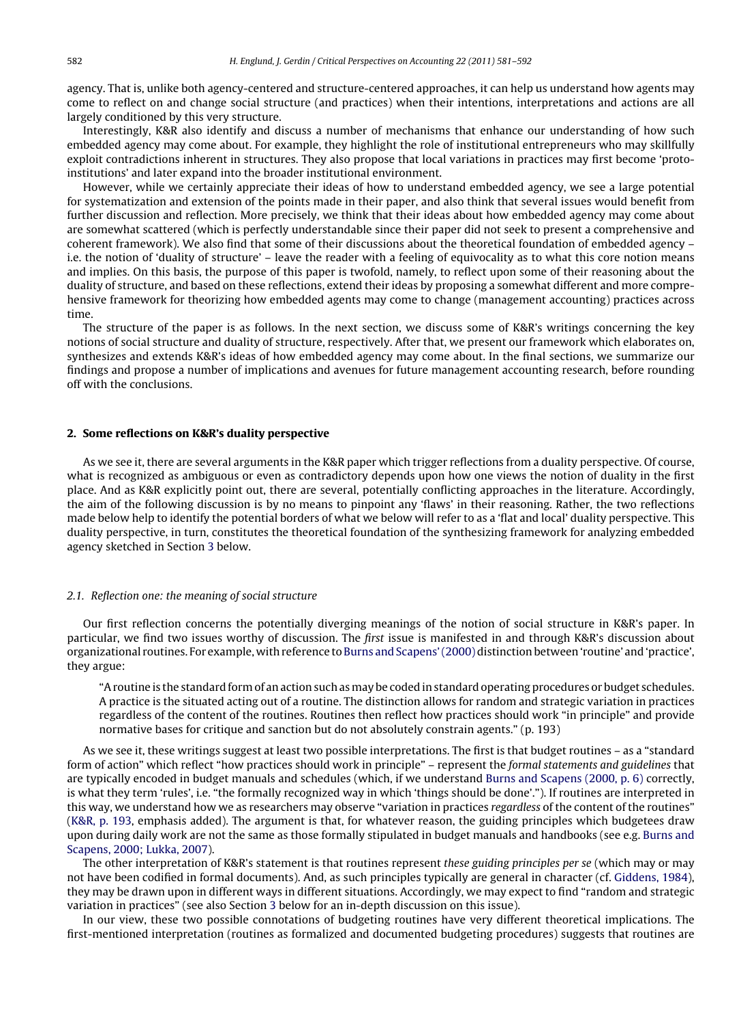agency. That is, unlike both agency-centered and structure-centered approaches, it can help us understand how agents may come to reflect on and change social structure (and practices) when their intentions, interpretations and actions are all largely conditioned by this very structure.

Interestingly, K&R also identify and discuss a number of mechanisms that enhance our understanding of how such embedded agency may come about. For example, they highlight the role of institutional entrepreneurs who may skillfully exploit contradictions inherent in structures. They also propose that local variations in practices may first become 'protoinstitutions' and later expand into the broader institutional environment.

However, while we certainly appreciate their ideas of how to understand embedded agency, we see a large potential for systematization and extension of the points made in their paper, and also think that several issues would benefit from further discussion and reflection. More precisely, we think that their ideas about how embedded agency may come about are somewhat scattered (which is perfectly understandable since their paper did not seek to present a comprehensive and coherent framework). We also find that some of their discussions about the theoretical foundation of embedded agency – i.e. the notion of 'duality of structure' – leave the reader with a feeling of equivocality as to what this core notion means and implies. On this basis, the purpose of this paper is twofold, namely, to reflect upon some of their reasoning about the duality of structure, and based on these reflections, extend their ideas by proposing a somewhat different and more comprehensive framework for theorizing how embedded agents may come to change (management accounting) practices across time.

The structure of the paper is as follows. In the next section, we discuss some of K&R's writings concerning the key notions of social structure and duality of structure, respectively. After that, we present our framework which elaborates on, synthesizes and extends K&R's ideas of how embedded agency may come about. In the final sections, we summarize our findings and propose a number of implications and avenues for future management accounting research, before rounding off with the conclusions.

#### **2. Some reflections on K&R's duality perspective**

As we see it, there are several arguments in the K&R paper which trigger reflections from a duality perspective. Of course, what is recognized as ambiguous or even as contradictory depends upon how one views the notion of duality in the first place. And as K&R explicitly point out, there are several, potentially conflicting approaches in the literature. Accordingly, the aim of the following discussion is by no means to pinpoint any 'flaws' in their reasoning. Rather, the two reflections made below help to identify the potential borders of what we below will refer to as a 'flat and local' duality perspective. This duality perspective, in turn, constitutes the theoretical foundation of the synthesizing framework for analyzing embedded agency sketched in Section [3](#page--1-0) below.

#### 2.1. Reflection one: the meaning of social structure

Our first reflection concerns the potentially diverging meanings of the notion of social structure in K&R's paper. In particular, we find two issues worthy of discussion. The first issue is manifested in and through K&R's discussion about organizational routines. For example, with reference to [Burns](#page--1-0) and Scapens' (2000) distinction between 'routine' and 'practice', they argue:

"A routine is the standard form of an action such as may be coded in standard operating procedures or budget schedules. A practice is the situated acting out of a routine. The distinction allows for random and strategic variation in practices regardless of the content of the routines. Routines then reflect how practices should work "in principle" and provide normative bases for critique and sanction but do not absolutely constrain agents." (p. 193)

As we see it, these writings suggest at least two possible interpretations. The first is that budget routines – as a "standard form of action" which reflect "how practices should work in principle" – represent the formal statements and guidelines that are typically encoded in budget manuals and schedules (which, if we understand [Burns](#page--1-0) [and](#page--1-0) [Scapens](#page--1-0) [\(2000,](#page--1-0) [p.](#page--1-0) [6\)](#page--1-0) correctly, is what they term 'rules', i.e. "the formally recognized way in which 'things should be done'."). If routines are interpreted in this way, we understand how we as researchers may observe "variation in practices regardless of the content of the routines" [\(K&R,](#page--1-0) [p.](#page--1-0) [193,](#page--1-0) emphasis added). The argument is that, for whatever reason, the guiding principles which budgetees draw upon during daily work are not the same as those formally stipulated in budget manuals and handbooks (see e.g. [Burns](#page--1-0) [and](#page--1-0) [Scapens,](#page--1-0) [2000;](#page--1-0) [Lukka,](#page--1-0) [2007\).](#page--1-0)

The other interpretation of K&R's statement is that routines represent these guiding principles per se (which may or may not have been codified in formal documents). And, as such principles typically are general in character (cf. [Giddens,](#page--1-0) [1984\),](#page--1-0) they may be drawn upon in different ways in different situations. Accordingly, we may expect to find "random and strategic variation in practices" (see also Section [3](#page--1-0) below for an in-depth discussion on this issue).

In our view, these two possible connotations of budgeting routines have very different theoretical implications. The first-mentioned interpretation (routines as formalized and documented budgeting procedures) suggests that routines are